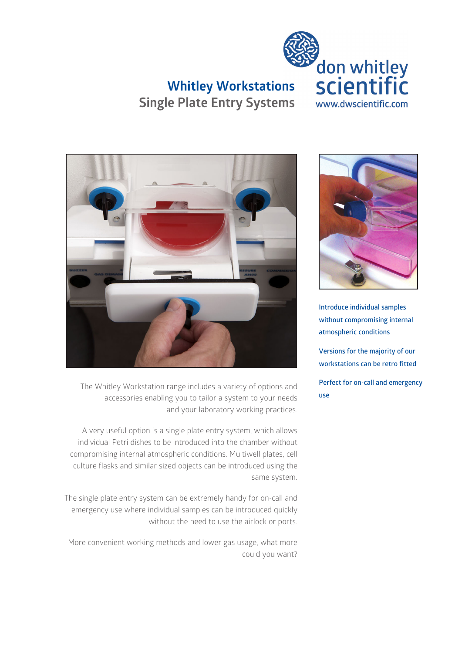

## **Whitley Workstations Single Plate Entry Systems**



The Whitley Workstation range includes a variety of options and accessories enabling you to tailor a system to your needs and your laboratory working practices.

A very useful option is a single plate entry system, which allows individual Petri dishes to be introduced into the chamber without compromising internal atmospheric conditions. Multiwell plates, cell culture flasks and similar sized objects can be introduced using the same system.

The single plate entry system can be extremely handy for on-call and emergency use where individual samples can be introduced quickly without the need to use the airlock or ports.

More convenient working methods and lower gas usage, what more could you want?



**Introduce individual samples without compromising internal atmospheric conditions**

**Versions for the majority of our workstations can be retro fitted**

**Perfect for on-call and emergency use**